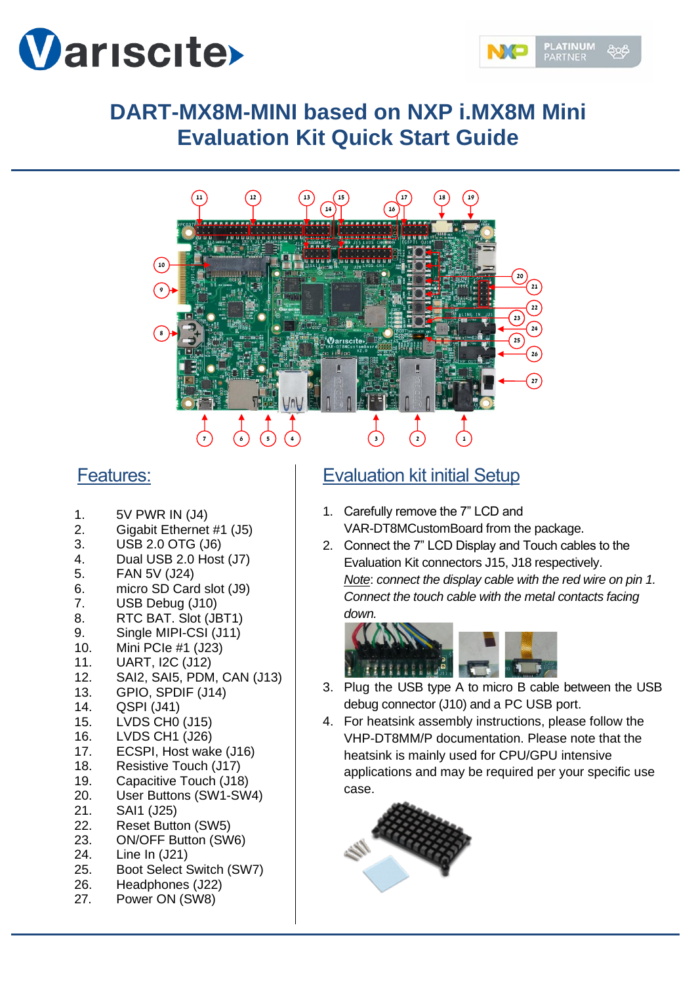



# **DART-MX8M-MINI based on NXP i.MX8M Mini Evaluation Kit Quick Start Guide**



#### Features:

- 1. 5V PWR IN (J4)
- 2. Gigabit Ethernet #1 (J5)
- 3. USB 2.0 OTG (J6)
- 4. Dual USB 2.0 Host (J7)
- 5. FAN 5V (J24)
- 6. micro SD Card slot (J9)
- 7. USB Debug (J10)
- 8. RTC BAT. Slot (JBT1)
- 9. Single MIPI-CSI (J11)
- 10. Mini PCIe #1 (J23)
- 11. UART, I2C (J12)
- 12. SAI2, SAI5, PDM, CAN (J13)
- 13. GPIO, SPDIF (J14)
- 14. QSPI (J41)
- 15. LVDS CH0 (J15)
- 16. LVDS CH1 (J26)
- 17. ECSPI, Host wake (J16)
- 18. Resistive Touch (J17)
- 19. Capacitive Touch (J18)
- 20. User Buttons (SW1-SW4)
- 21. SAI1 (J25)
- 22. Reset Button (SW5)
- 23. ON/OFF Button (SW6)
- 24. Line In (J21)
- 25. Boot Select Switch (SW7)
- 26. Headphones (J22)
- 27. Power ON (SW8)

## Evaluation kit initial Setup

- 1. Carefully remove the 7" LCD and VAR-DT8MCustomBoard from the package.
- 2. Connect the 7" LCD Display and Touch cables to the Evaluation Kit connectors J15, J18 respectively. *Note*: *connect the display cable with the red wire on pin 1. Connect the touch cable with the metal contacts facing down.*



- 3. Plug the USB type A to micro B cable between the USB debug connector (J10) and a PC USB port.
- 4. For heatsink assembly instructions, please follow the VHP-DT8MM/P documentation. Please note that the heatsink is mainly used for CPU/GPU intensive applications and may be required per your specific use case.